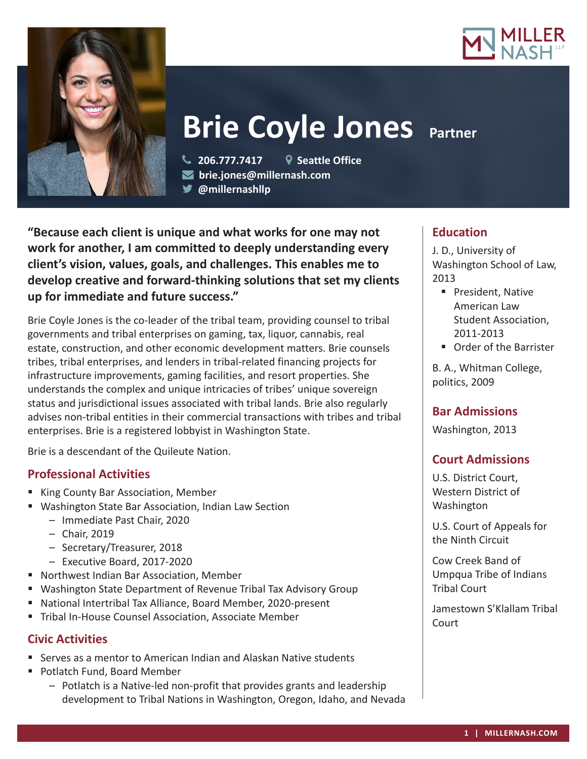



# **Brie Coyle Jones Partner**

 **206.777.7417 Seattle Office brie.jones@millernash.com @millernashllp**

**"Because each client is unique and what works for one may not work for another, I am committed to deeply understanding every client's vision, values, goals, and challenges. This enables me to develop creative and forward-thinking solutions that set my clients up for immediate and future success."**

Brie Coyle Jones is the co-leader of the tribal team, providing counsel to tribal governments and tribal enterprises on gaming, tax, liquor, cannabis, real estate, construction, and other economic development matters. Brie counsels tribes, tribal enterprises, and lenders in tribal-related financing projects for infrastructure improvements, gaming facilities, and resort properties. She understands the complex and unique intricacies of tribes' unique sovereign status and jurisdictional issues associated with tribal lands. Brie also regularly advises non-tribal entities in their commercial transactions with tribes and tribal enterprises. Brie is a registered lobbyist in Washington State.

Brie is a descendant of the Quileute Nation.

# **Professional Activities**

- King County Bar Association, Member
- Washington State Bar Association, Indian Law Section
	- Immediate Past Chair, 2020
	- Chair, 2019
	- Secretary/Treasurer, 2018
	- Executive Board, 2017-2020
- Northwest Indian Bar Association, Member
- Washington State Department of Revenue Tribal Tax Advisory Group
- National Intertribal Tax Alliance, Board Member, 2020-present
- **Tribal In-House Counsel Association, Associate Member**

## **Civic Activities**

- Serves as a mentor to American Indian and Alaskan Native students
- Potlatch Fund, Board Member
	- Potlatch is a Native-led non-profit that provides grants and leadership development to Tribal Nations in Washington, Oregon, Idaho, and Nevada

## **Education**

J. D., University of Washington School of Law, 2013

- **President, Native** American Law Student Association, 2011-2013
- **Drder of the Barrister**

B. A., Whitman College, politics, 2009

# **Bar Admissions**

Washington, 2013

# **Court Admissions**

U.S. District Court, Western District of Washington

U.S. Court of Appeals for the Ninth Circuit

Cow Creek Band of Umpqua Tribe of Indians Tribal Court

Jamestown S'Klallam Tribal **Court**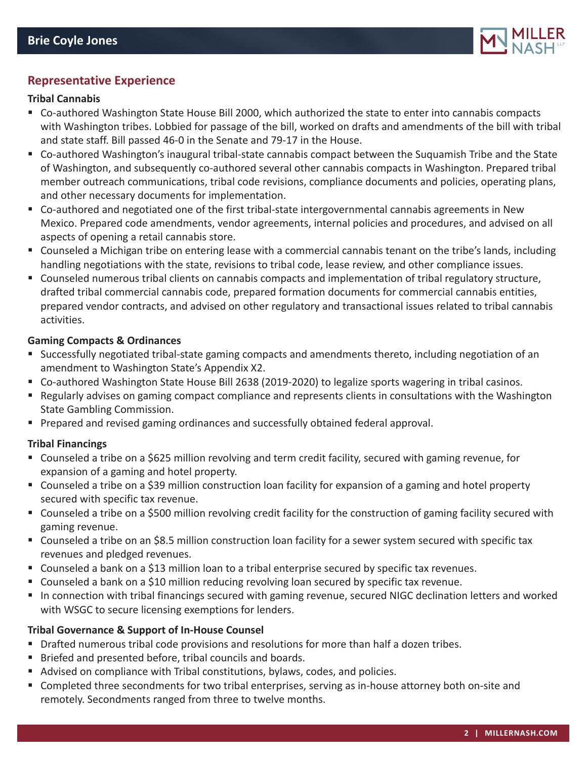

## **Representative Experience**

## **Tribal Cannabis**

- Co-authored Washington State House Bill 2000, which authorized the state to enter into cannabis compacts with Washington tribes. Lobbied for passage of the bill, worked on drafts and amendments of the bill with tribal and state staff. Bill passed 46-0 in the Senate and 79-17 in the House.
- Co-authored Washington's inaugural tribal-state cannabis compact between the Suquamish Tribe and the State of Washington, and subsequently co-authored several other cannabis compacts in Washington. Prepared tribal member outreach communications, tribal code revisions, compliance documents and policies, operating plans, and other necessary documents for implementation.
- Co-authored and negotiated one of the first tribal-state intergovernmental cannabis agreements in New Mexico. Prepared code amendments, vendor agreements, internal policies and procedures, and advised on all aspects of opening a retail cannabis store.
- Counseled a Michigan tribe on entering lease with a commercial cannabis tenant on the tribe's lands, including handling negotiations with the state, revisions to tribal code, lease review, and other compliance issues.
- Counseled numerous tribal clients on cannabis compacts and implementation of tribal regulatory structure, drafted tribal commercial cannabis code, prepared formation documents for commercial cannabis entities, prepared vendor contracts, and advised on other regulatory and transactional issues related to tribal cannabis activities.

#### **Gaming Compacts & Ordinances**

- Successfully negotiated tribal-state gaming compacts and amendments thereto, including negotiation of an amendment to Washington State's Appendix X2.
- Co-authored Washington State House Bill 2638 (2019-2020) to legalize sports wagering in tribal casinos.
- Regularly advises on gaming compact compliance and represents clients in consultations with the Washington State Gambling Commission.
- **Prepared and revised gaming ordinances and successfully obtained federal approval.**

#### **Tribal Financings**

- Counseled a tribe on a \$625 million revolving and term credit facility, secured with gaming revenue, for expansion of a gaming and hotel property.
- Counseled a tribe on a \$39 million construction loan facility for expansion of a gaming and hotel property secured with specific tax revenue.
- Counseled a tribe on a \$500 million revolving credit facility for the construction of gaming facility secured with gaming revenue.
- Counseled a tribe on an \$8.5 million construction loan facility for a sewer system secured with specific tax revenues and pledged revenues.
- Counseled a bank on a \$13 million loan to a tribal enterprise secured by specific tax revenues.
- Counseled a bank on a \$10 million reducing revolving loan secured by specific tax revenue.
- In connection with tribal financings secured with gaming revenue, secured NIGC declination letters and worked with WSGC to secure licensing exemptions for lenders.

## **Tribal Governance & Support of In-House Counsel**

- Drafted numerous tribal code provisions and resolutions for more than half a dozen tribes.
- Briefed and presented before, tribal councils and boards.
- Advised on compliance with Tribal constitutions, bylaws, codes, and policies.
- Completed three secondments for two tribal enterprises, serving as in-house attorney both on-site and remotely. Secondments ranged from three to twelve months.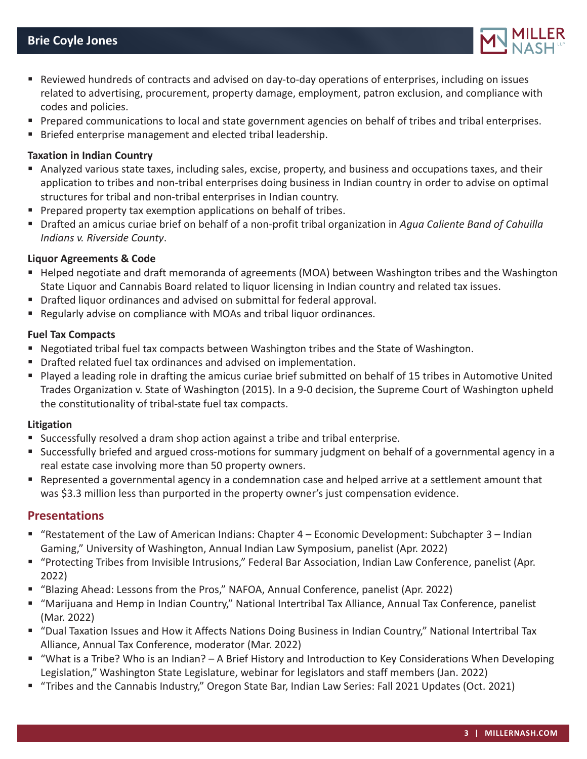

- Reviewed hundreds of contracts and advised on day-to-day operations of enterprises, including on issues related to advertising, procurement, property damage, employment, patron exclusion, and compliance with codes and policies.
- **Prepared communications to local and state government agencies on behalf of tribes and tribal enterprises.**
- **Briefed enterprise management and elected tribal leadership.**

## **Taxation in Indian Country**

- Analyzed various state taxes, including sales, excise, property, and business and occupations taxes, and their application to tribes and non-tribal enterprises doing business in Indian country in order to advise on optimal structures for tribal and non-tribal enterprises in Indian country.
- **Prepared property tax exemption applications on behalf of tribes.**
- Drafted an amicus curiae brief on behalf of a non-profit tribal organization in *Agua Caliente Band of Cahuilla Indians v. Riverside County*.

## **Liquor Agreements & Code**

- Helped negotiate and draft memoranda of agreements (MOA) between Washington tribes and the Washington State Liquor and Cannabis Board related to liquor licensing in Indian country and related tax issues.
- Drafted liquor ordinances and advised on submittal for federal approval.
- Regularly advise on compliance with MOAs and tribal liquor ordinances.

#### **Fuel Tax Compacts**

- Negotiated tribal fuel tax compacts between Washington tribes and the State of Washington.
- Drafted related fuel tax ordinances and advised on implementation.
- Played a leading role in drafting the amicus curiae brief submitted on behalf of 15 tribes in Automotive United Trades Organization v. State of Washington (2015). In a 9-0 decision, the Supreme Court of Washington upheld the constitutionality of tribal-state fuel tax compacts.

#### **Litigation**

- Successfully resolved a dram shop action against a tribe and tribal enterprise.
- Successfully briefed and argued cross-motions for summary judgment on behalf of a governmental agency in a real estate case involving more than 50 property owners.
- Represented a governmental agency in a condemnation case and helped arrive at a settlement amount that was \$3.3 million less than purported in the property owner's just compensation evidence.

## **Presentations**

- "Restatement of the Law of American Indians: Chapter 4 Economic Development: Subchapter 3 Indian Gaming," University of Washington, Annual Indian Law Symposium, panelist (Apr. 2022)
- "Protecting Tribes from Invisible Intrusions," Federal Bar Association, Indian Law Conference, panelist (Apr. 2022)
- "Blazing Ahead: Lessons from the Pros," NAFOA, Annual Conference, panelist (Apr. 2022)
- "Marijuana and Hemp in Indian Country," National Intertribal Tax Alliance, Annual Tax Conference, panelist (Mar. 2022)
- "Dual Taxation Issues and How it Affects Nations Doing Business in Indian Country," National Intertribal Tax Alliance, Annual Tax Conference, moderator (Mar. 2022)
- "What is a Tribe? Who is an Indian? A Brief History and Introduction to Key Considerations When Developing Legislation," Washington State Legislature, webinar for legislators and staff members (Jan. 2022)
- "Tribes and the Cannabis Industry," Oregon State Bar, Indian Law Series: Fall 2021 Updates (Oct. 2021)